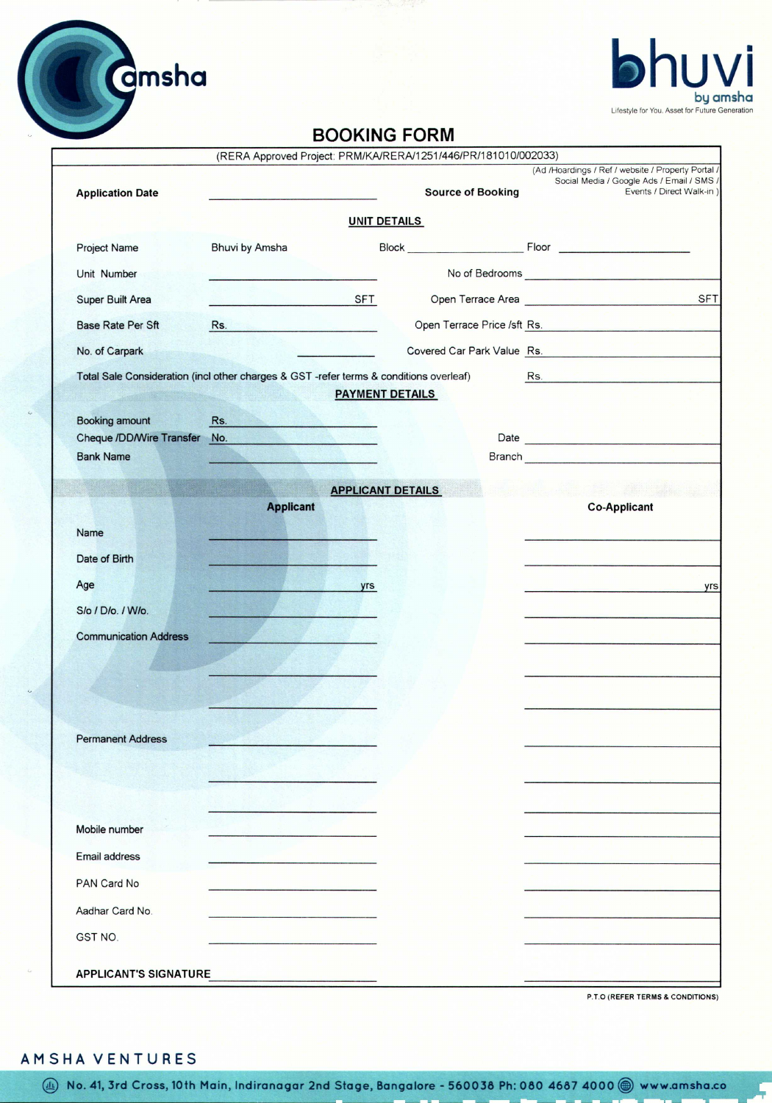

## **BOOKING FORM**

|                                                     |                                                                                                                                                                                                                               | (RERA Approved Project: PRM/KA/RERA/1251/446/PR/181010/002033) |                                                                                                                             |
|-----------------------------------------------------|-------------------------------------------------------------------------------------------------------------------------------------------------------------------------------------------------------------------------------|----------------------------------------------------------------|-----------------------------------------------------------------------------------------------------------------------------|
| <b>Application Date</b>                             |                                                                                                                                                                                                                               | <b>Source of Booking</b>                                       | (Ad /Hoardings / Ref / website / Property Portal /<br>Social Media / Google Ads / Email / SMS /<br>Events / Direct Walk-in) |
|                                                     |                                                                                                                                                                                                                               | <b>UNIT DETAILS</b>                                            |                                                                                                                             |
| <b>Project Name</b>                                 | Bhuvi by Amsha                                                                                                                                                                                                                |                                                                |                                                                                                                             |
| Unit Number                                         |                                                                                                                                                                                                                               |                                                                |                                                                                                                             |
| Super Built Area                                    | والمستحدث والمناقبة الكالية المتعاونة                                                                                                                                                                                         | <b>SFT</b>                                                     | <b>SFT</b><br>Open Terrace Area                                                                                             |
| <b>Base Rate Per Sft</b>                            | Rs. No. 1996. In the contract of the contract of the contract of the contract of the contract of the contract of the contract of the contract of the contract of the contract of the contract of the contract of the contract |                                                                | Open Terrace Price /sft Rs.                                                                                                 |
| No. of Carpark                                      |                                                                                                                                                                                                                               |                                                                | Covered Car Park Value Rs.                                                                                                  |
|                                                     | Total Sale Consideration (incl other charges & GST -refer terms & conditions overleaf)                                                                                                                                        |                                                                |                                                                                                                             |
|                                                     |                                                                                                                                                                                                                               | <b>PAYMENT DETAILS</b>                                         |                                                                                                                             |
| <b>Booking amount</b>                               | Rs.<br>The Most of Contract of the Contract of                                                                                                                                                                                |                                                                |                                                                                                                             |
| <b>Cheque /DD/Wire Transfer</b><br><b>Bank Name</b> | No.                                                                                                                                                                                                                           |                                                                |                                                                                                                             |
|                                                     |                                                                                                                                                                                                                               |                                                                |                                                                                                                             |
|                                                     | <b>Applicant</b>                                                                                                                                                                                                              | <b>APPLICANT DETAILS</b>                                       | <b>Co-Applicant</b>                                                                                                         |
| Name                                                |                                                                                                                                                                                                                               |                                                                |                                                                                                                             |
| Date of Birth                                       |                                                                                                                                                                                                                               |                                                                |                                                                                                                             |
| Age                                                 |                                                                                                                                                                                                                               | yrs                                                            | yrs<br><u> 1965 - Martin Albert II, martin A</u> lbert                                                                      |
| S/o / D/o. / W/o.                                   |                                                                                                                                                                                                                               |                                                                |                                                                                                                             |
| <b>Communication Address</b>                        |                                                                                                                                                                                                                               |                                                                |                                                                                                                             |
|                                                     |                                                                                                                                                                                                                               |                                                                |                                                                                                                             |
|                                                     |                                                                                                                                                                                                                               |                                                                |                                                                                                                             |
|                                                     |                                                                                                                                                                                                                               |                                                                |                                                                                                                             |
| <b>Permanent Address</b>                            |                                                                                                                                                                                                                               |                                                                |                                                                                                                             |
|                                                     |                                                                                                                                                                                                                               |                                                                |                                                                                                                             |
|                                                     |                                                                                                                                                                                                                               |                                                                |                                                                                                                             |
|                                                     |                                                                                                                                                                                                                               |                                                                |                                                                                                                             |
| Mobile number                                       |                                                                                                                                                                                                                               |                                                                |                                                                                                                             |
| <b>Email address</b>                                |                                                                                                                                                                                                                               |                                                                |                                                                                                                             |
| PAN Card No                                         |                                                                                                                                                                                                                               |                                                                |                                                                                                                             |
| Aadhar Card No.                                     |                                                                                                                                                                                                                               |                                                                |                                                                                                                             |
| GST NO.                                             |                                                                                                                                                                                                                               |                                                                |                                                                                                                             |
|                                                     |                                                                                                                                                                                                                               |                                                                |                                                                                                                             |
| <b>APPLICANT'S SIGNATURE</b>                        |                                                                                                                                                                                                                               |                                                                |                                                                                                                             |

P.T.O (REFER TERMS & CONDITIONS)

## AMSHA VENTURES

(4) No. 41, 3rd Cross, 10th Main, Indiranagar 2nd Stage, Bangalore - 560038 Ph: 080 4687 4000 @ www.amsha.co